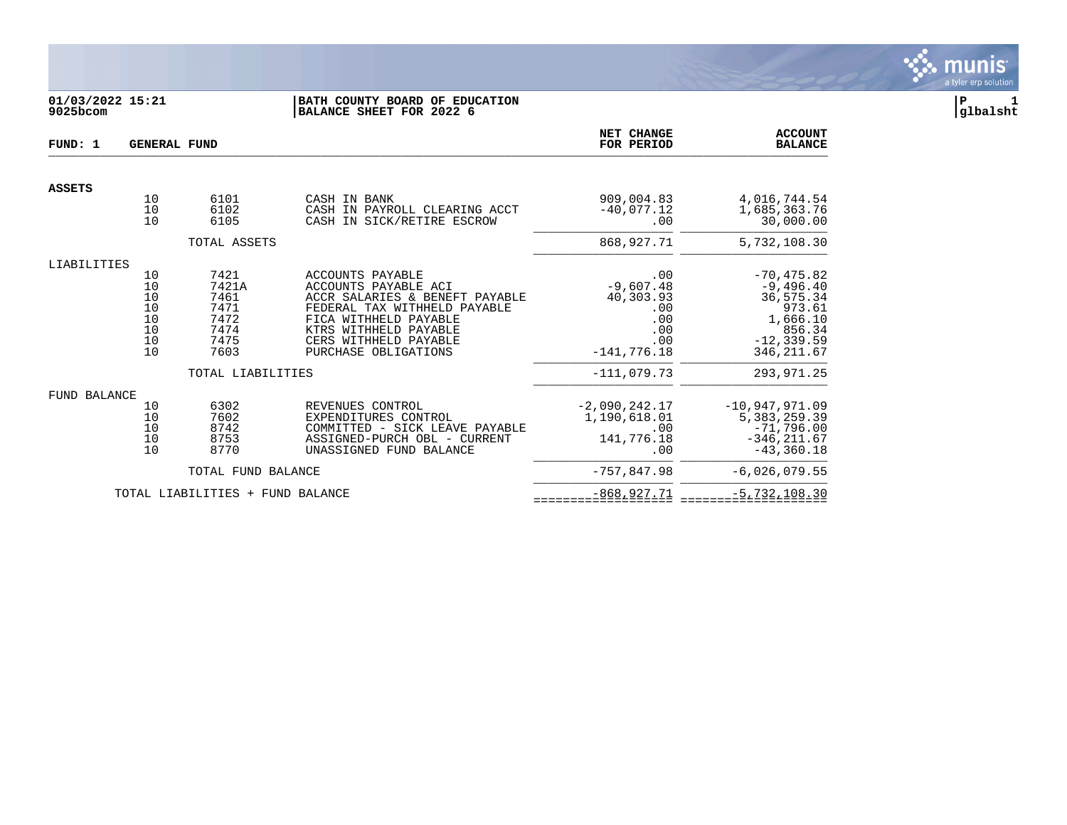

## **01/03/2022 15:21 |BATH COUNTY BOARD OF EDUCATION |P 1 9025bcom |BALANCE SHEET FOR 2022 6 |glbalsht**

| FUND: 1             | <b>GENERAL FUND</b>                            |                                                               | NET CHANGE<br>FOR PERIOD                                                                                                                                                                                      | <b>ACCOUNT</b><br><b>BALANCE</b>                                             |                                                                                                           |
|---------------------|------------------------------------------------|---------------------------------------------------------------|---------------------------------------------------------------------------------------------------------------------------------------------------------------------------------------------------------------|------------------------------------------------------------------------------|-----------------------------------------------------------------------------------------------------------|
| <b>ASSETS</b>       |                                                |                                                               |                                                                                                                                                                                                               |                                                                              |                                                                                                           |
|                     | 10<br>10<br>10                                 | 6101<br>6102<br>6105                                          | CASH IN BANK<br>CASH IN PAYROLL CLEARING ACCT<br>CASH IN SICK/RETIRE ESCROW                                                                                                                                   | 909,004.83<br>$-40,077.12$<br>.00                                            | 4,016,744.54<br>1,685,363.76<br>30,000.00                                                                 |
|                     |                                                | TOTAL ASSETS                                                  |                                                                                                                                                                                                               | 868,927.71                                                                   | 5,732,108.30                                                                                              |
| LIABILITIES         |                                                |                                                               |                                                                                                                                                                                                               |                                                                              |                                                                                                           |
|                     | 10<br>10<br>$10$<br>10<br>10<br>10<br>10<br>10 | 7421<br>7421A<br>7461<br>7471<br>7472<br>7474<br>7475<br>7603 | ACCOUNTS PAYABLE<br>ACCOUNTS PAYABLE ACI<br>ACCR SALARIES & BENEFT PAYABLE<br>FEDERAL TAX WITHHELD PAYABLE<br>FICA WITHHELD PAYABLE<br>KTRS WITHHELD PAYABLE<br>CERS WITHHELD PAYABLE<br>PURCHASE OBLIGATIONS | .00<br>$-9,607.48$<br>40,303.93<br>.00<br>.00<br>.00<br>.00<br>$-141.776.18$ | $-70, 475.82$<br>$-9,496.40$<br>36,575.34<br>973.61<br>1,666.10<br>856.34<br>$-12, 339.59$<br>346, 211.67 |
|                     |                                                | TOTAL LIABILITIES                                             |                                                                                                                                                                                                               | $-111,079.73$                                                                | 293, 971.25                                                                                               |
| <b>FUND BALANCE</b> | 10<br>10<br>10<br>10<br>10                     | 6302<br>7602<br>8742<br>8753<br>8770                          | REVENUES CONTROL<br>EXPENDITURES CONTROL<br>COMMITTED - SICK LEAVE PAYABLE<br>ASSIGNED-PURCH OBL - CURRENT<br>UNASSIGNED FUND BALANCE                                                                         | $-2,090,242.17$<br>1,190,618.01<br>.00<br>141,776.18<br>.00                  | $-10,947,971.09$<br>5, 383, 259.39<br>$-71,796.00$<br>$-346, 211.67$<br>$-43, 360.18$                     |
|                     |                                                | TOTAL FUND BALANCE                                            |                                                                                                                                                                                                               | $-757,847.98$                                                                | $-6,026,079.55$                                                                                           |
|                     |                                                | TOTAL LIABILITIES + FUND BALANCE                              |                                                                                                                                                                                                               | $-868, 927.71$                                                               | $-5,732,108.30$                                                                                           |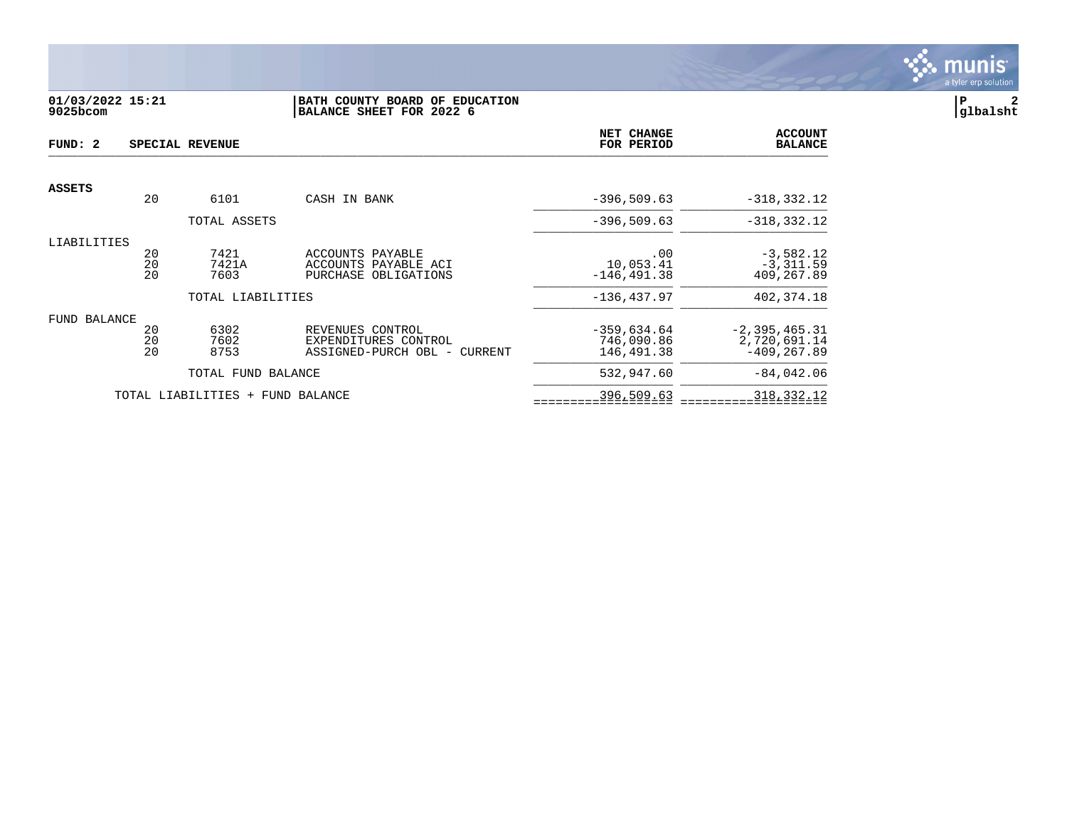

# **01/03/2022 15:21 |BATH COUNTY BOARD OF EDUCATION |P 2 9025bcom |BALANCE SHEET FOR 2022 6 |glbalsht**

| FUND: 2       | SPECIAL REVENUE |                                  |                              |               | <b>ACCOUNT</b><br><b>BALANCE</b> |
|---------------|-----------------|----------------------------------|------------------------------|---------------|----------------------------------|
| <b>ASSETS</b> |                 |                                  |                              |               |                                  |
|               | 20              | 6101                             | CASH IN BANK                 | $-396,509.63$ | $-318, 332.12$                   |
|               |                 | TOTAL ASSETS                     |                              | $-396.509.63$ | $-318, 332.12$                   |
| LIABILITIES   |                 |                                  |                              |               |                                  |
|               | 20              | 7421                             | ACCOUNTS PAYABLE             | .00           | $-3,582.12$                      |
|               | 20              | 7421A                            | ACCOUNTS PAYABLE ACI         | 10,053.41     | $-3,311.59$                      |
|               | 20              | 7603                             | PURCHASE OBLIGATIONS         | $-146.491.38$ | 409,267.89                       |
|               |                 | TOTAL LIABILITIES                |                              | $-136.437.97$ | 402,374.18                       |
| FUND BALANCE  |                 |                                  |                              |               |                                  |
|               | 20              | 6302                             | REVENUES CONTROL             | $-359,634.64$ | $-2, 395, 465.31$                |
|               | 20              | 7602                             | EXPENDITURES CONTROL         | 746,090.86    | 2,720,691.14                     |
|               | 20              | 8753                             | ASSIGNED-PURCH OBL - CURRENT | 146,491.38    | $-409, 267.89$                   |
|               |                 | TOTAL FUND BALANCE               |                              | 532,947.60    | $-84,042.06$                     |
|               |                 | TOTAL LIABILITIES + FUND BALANCE |                              | 396,509.63    | 318, 332. 12                     |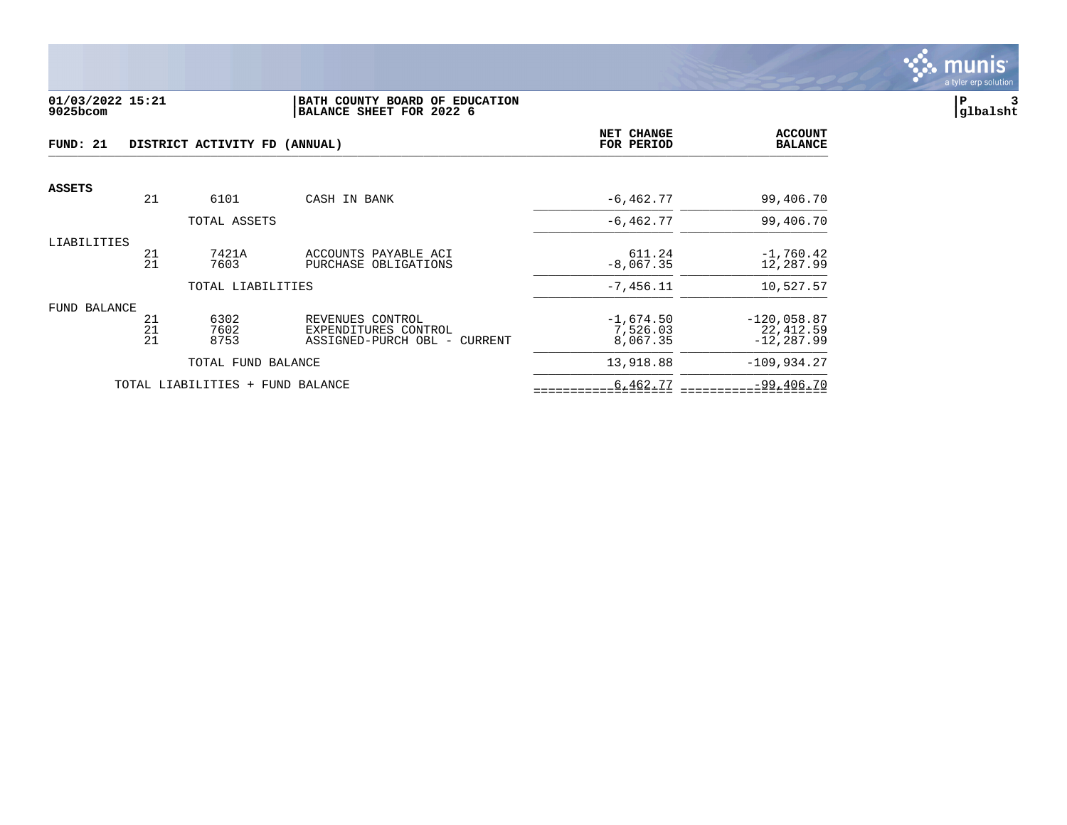

#### **01/03/2022 15:21 |BATH COUNTY BOARD OF EDUCATION |P 3 9025bcom |BALANCE SHEET FOR 2022 6 |glbalsht**

| FUND: 21<br>DISTRICT ACTIVITY FD (ANNUAL) |          |                                  | NET CHANGE<br>FOR PERIOD                     | <b>ACCOUNT</b><br><b>BALANCE</b> |                            |
|-------------------------------------------|----------|----------------------------------|----------------------------------------------|----------------------------------|----------------------------|
| <b>ASSETS</b>                             |          |                                  |                                              |                                  |                            |
|                                           | 21       | 6101                             | CASH IN BANK                                 | $-6, 462.77$                     | 99,406.70                  |
|                                           |          | TOTAL ASSETS                     |                                              | $-6, 462.77$                     | 99,406.70                  |
| LIABILITIES                               |          |                                  |                                              |                                  |                            |
|                                           | 21<br>21 | 7421A<br>7603                    | ACCOUNTS PAYABLE ACI<br>PURCHASE OBLIGATIONS | 611.24<br>$-8,067.35$            | $-1,760.42$<br>12,287.99   |
|                                           |          | TOTAL LIABILITIES                |                                              | $-7,456.11$                      | 10,527.57                  |
| FUND BALANCE                              |          |                                  |                                              |                                  |                            |
|                                           | 21<br>21 | 6302<br>7602                     | REVENUES CONTROL<br>EXPENDITURES CONTROL     | $-1,674.50$<br>7,526.03          | $-120,058.87$<br>22,412.59 |
|                                           | 21       | 8753                             | ASSIGNED-PURCH OBL - CURRENT                 | 8,067.35                         | $-12, 287.99$              |
|                                           |          | TOTAL FUND BALANCE               |                                              | 13,918.88                        | $-109,934.27$              |
|                                           |          | TOTAL LIABILITIES + FUND BALANCE |                                              | 6,462.77                         | $-99,406.70$               |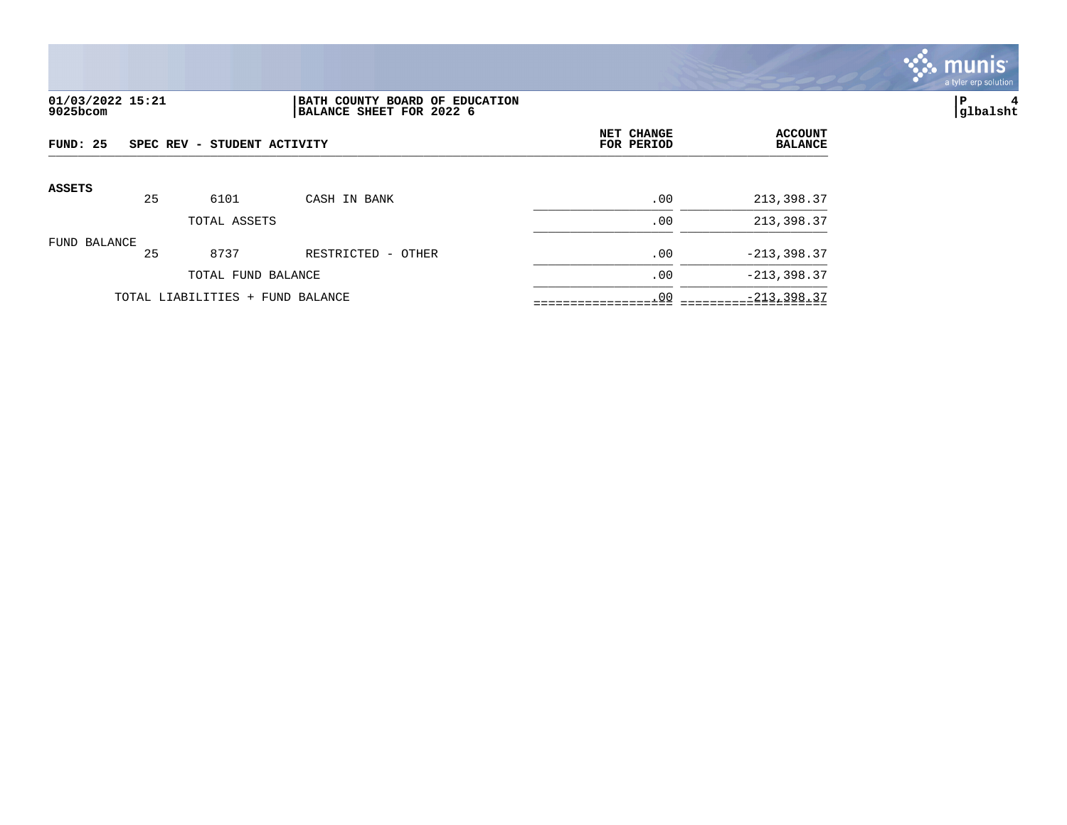

## **01/03/2022 15:21 |BATH COUNTY BOARD OF EDUCATION |P 4 9025bcom |BALANCE SHEET FOR 2022 6 |glbalsht**

| FUND: 25      |    | SPEC REV - STUDENT ACTIVITY      |                    | NET CHANGE<br>FOR PERIOD | <b>ACCOUNT</b><br><b>BALANCE</b> |
|---------------|----|----------------------------------|--------------------|--------------------------|----------------------------------|
| <b>ASSETS</b> | 25 | 6101                             | CASH IN BANK       | .00                      | 213,398.37                       |
|               |    | TOTAL ASSETS                     |                    | .00                      | 213,398.37                       |
| FUND BALANCE  | 25 | 8737                             | RESTRICTED - OTHER | .00                      | $-213, 398.37$                   |
|               |    | TOTAL FUND BALANCE               |                    | .00                      | $-213, 398.37$                   |
|               |    | TOTAL LIABILITIES + FUND BALANCE |                    | .00                      | $-213, 398.37$                   |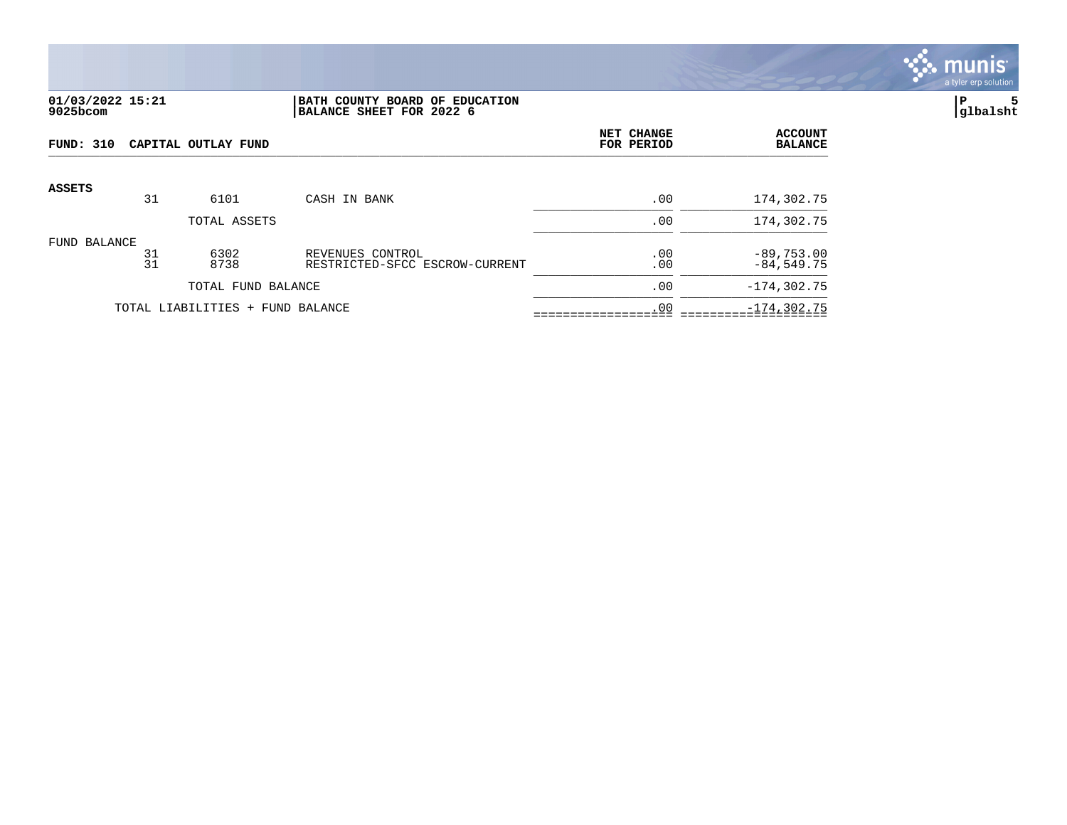

### **01/03/2022 15:21 |BATH COUNTY BOARD OF EDUCATION |P 5 9025bcom |BALANCE SHEET FOR 2022 6 |glbalsht**

| FUND: 310<br>CAPITAL OUTLAY FUND |          |                                  |                                                    | NET CHANGE<br>FOR PERIOD | <b>ACCOUNT</b><br><b>BALANCE</b> |
|----------------------------------|----------|----------------------------------|----------------------------------------------------|--------------------------|----------------------------------|
| <b>ASSETS</b>                    |          |                                  |                                                    |                          |                                  |
|                                  | 31       | 6101                             | CASH IN BANK                                       | .00                      | 174,302.75                       |
|                                  |          | TOTAL ASSETS                     |                                                    | .00                      | 174,302.75                       |
| FUND BALANCE                     | 31<br>31 | 6302<br>8738                     | REVENUES CONTROL<br>RESTRICTED-SFCC ESCROW-CURRENT | .00<br>.00               | $-89,753.00$<br>$-84,549.75$     |
|                                  |          | TOTAL FUND BALANCE               |                                                    | .00                      | $-174, 302.75$                   |
|                                  |          | TOTAL LIABILITIES + FUND BALANCE |                                                    | .00                      | $-174, 302.75$                   |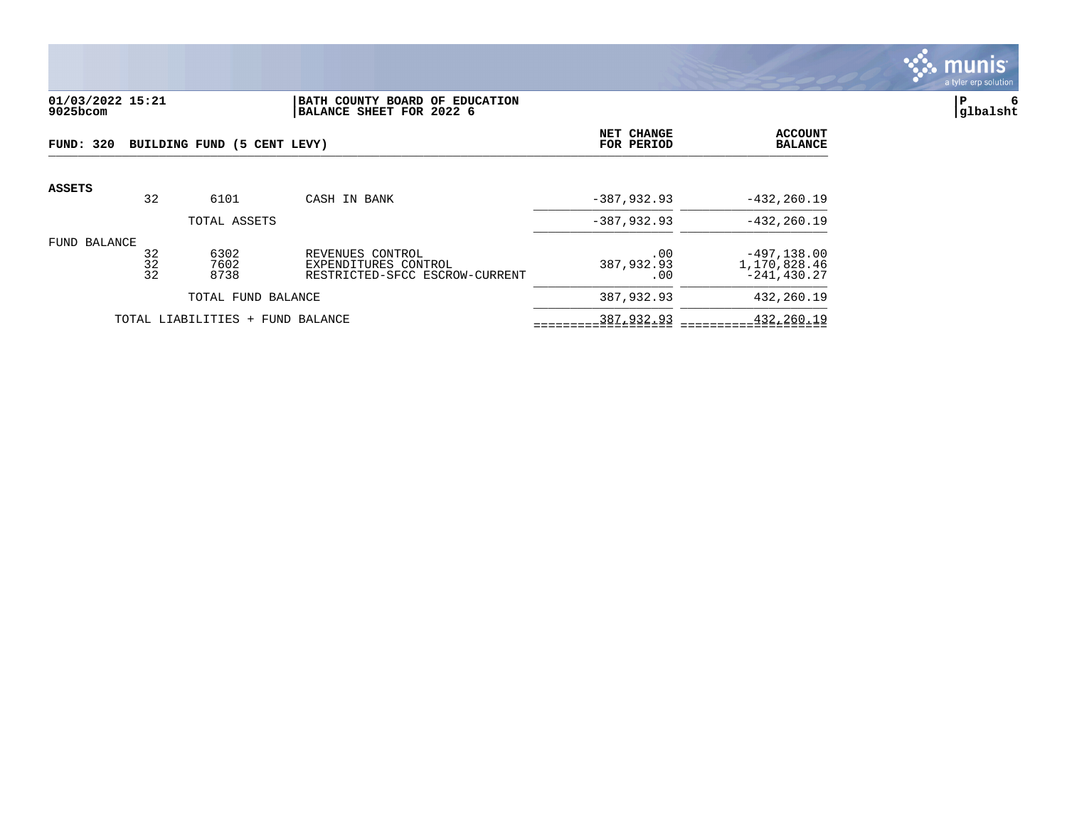

# **01/03/2022 15:21 |BATH COUNTY BOARD OF EDUCATION |P 6 9025bcom |BALANCE SHEET FOR 2022 6 |glbalsht**

| FUND: 320       |                | BUILDING FUND (5 CENT LEVY)      |                                                                            | NET CHANGE<br>FOR PERIOD | <b>ACCOUNT</b><br><b>BALANCE</b>                 |
|-----------------|----------------|----------------------------------|----------------------------------------------------------------------------|--------------------------|--------------------------------------------------|
| <b>ASSETS</b>   | 32             | 6101                             | CASH IN BANK                                                               | $-387,932.93$            | $-432, 260.19$                                   |
|                 |                | TOTAL ASSETS                     |                                                                            | $-387,932.93$            | $-432, 260.19$                                   |
| BALANCE<br>FUND | 32<br>32<br>32 | 6302<br>7602<br>8738             | REVENUES CONTROL<br>EXPENDITURES CONTROL<br>RESTRICTED-SFCC ESCROW-CURRENT | .00<br>387,932.93<br>.00 | $-497, 138.00$<br>1,170,828.46<br>$-241, 430.27$ |
|                 |                | TOTAL FUND BALANCE               |                                                                            | 387,932.93               | 432,260.19                                       |
|                 |                | TOTAL LIABILITIES + FUND BALANCE |                                                                            | 387,932.93               | 432,260.19                                       |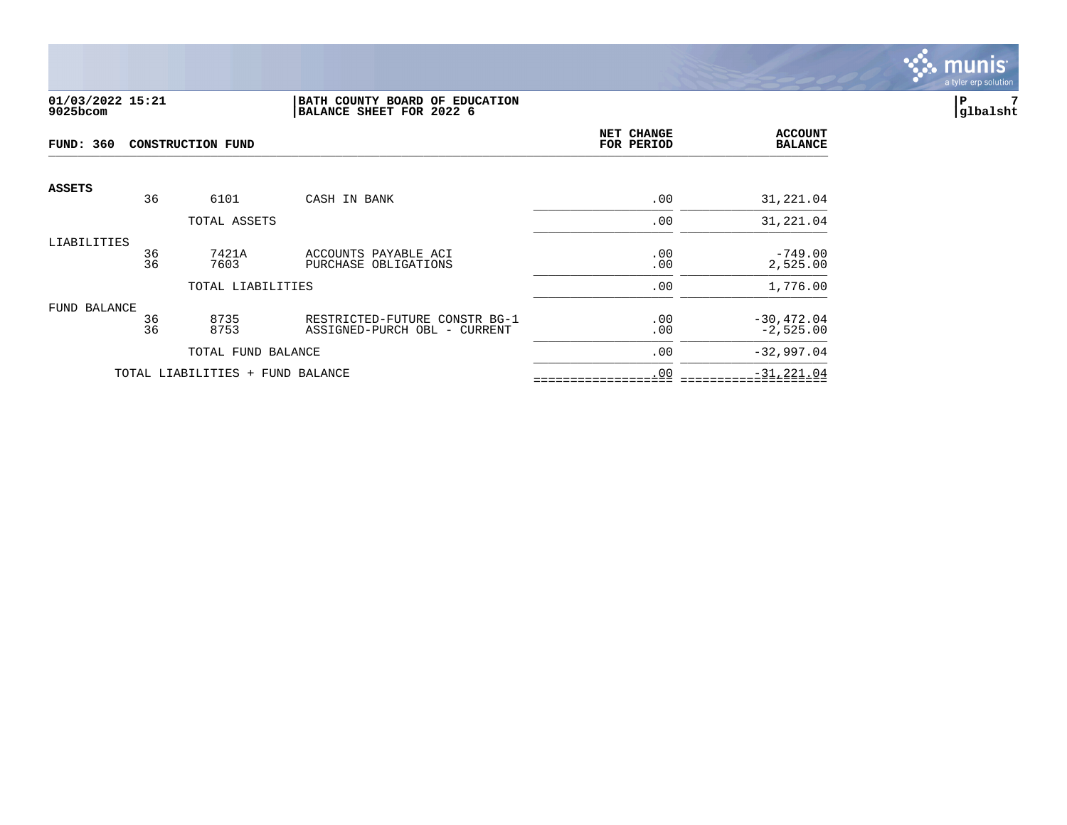

#### **01/03/2022 15:21 |BATH COUNTY BOARD OF EDUCATION |P 7 9025bcom |BALANCE SHEET FOR 2022 6 |glbalsht**

| <b>FUND: 360</b><br><b>CONSTRUCTION FUND</b> |          |                                  |                                                               | NET CHANGE<br>FOR PERIOD | <b>ACCOUNT</b><br><b>BALANCE</b> |
|----------------------------------------------|----------|----------------------------------|---------------------------------------------------------------|--------------------------|----------------------------------|
| <b>ASSETS</b>                                | 36       | 6101                             | CASH IN BANK                                                  | .00                      | 31,221.04                        |
|                                              |          | TOTAL ASSETS                     |                                                               | .00                      | 31,221.04                        |
| LIABILITIES                                  | 36<br>36 | 7421A<br>7603                    | ACCOUNTS PAYABLE ACI<br>PURCHASE OBLIGATIONS                  | .00<br>.00               | $-749.00$<br>2,525.00            |
|                                              |          | TOTAL LIABILITIES                |                                                               | .00                      | 1,776.00                         |
| FUND BALANCE                                 | 36<br>36 | 8735<br>8753                     | RESTRICTED-FUTURE CONSTR BG-1<br>ASSIGNED-PURCH OBL - CURRENT | .00<br>.00               | $-30, 472.04$<br>$-2,525.00$     |
|                                              |          | TOTAL FUND BALANCE               |                                                               | .00                      | $-32,997.04$                     |
|                                              |          | TOTAL LIABILITIES + FUND BALANCE |                                                               | .00                      | $-31, 221.04$                    |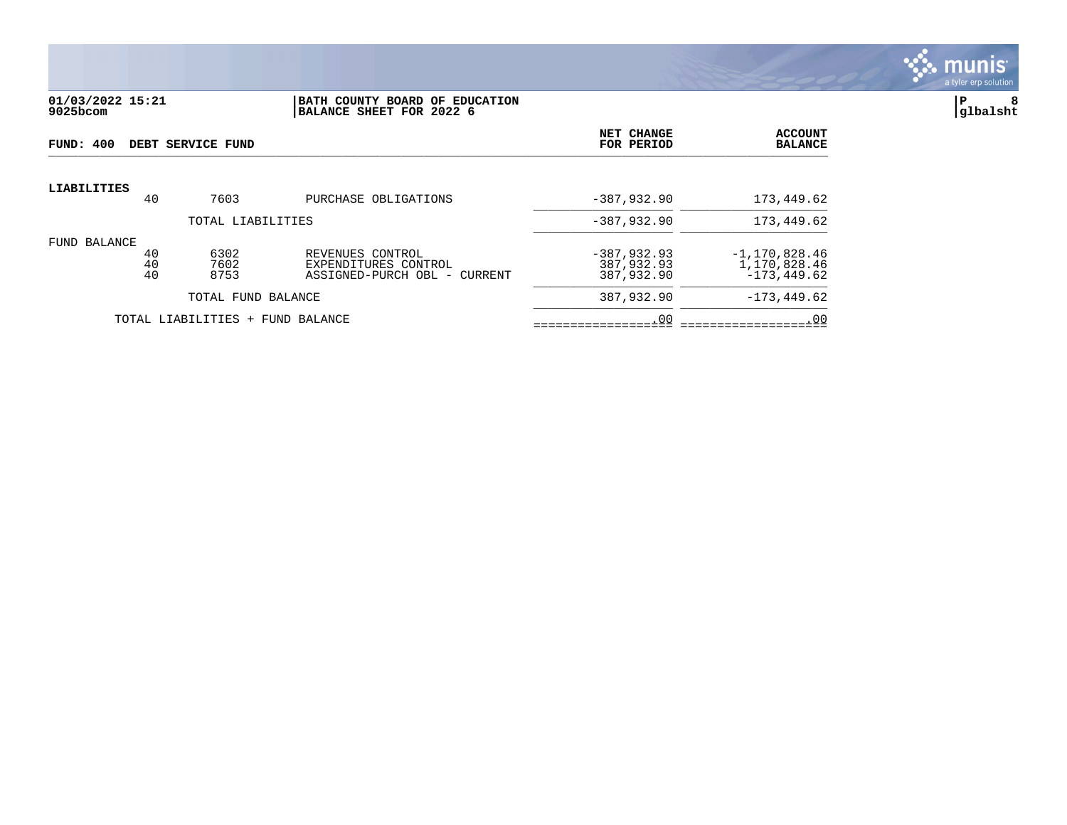

#### **01/03/2022 15:21 |BATH COUNTY BOARD OF EDUCATION |P 8 9025bcom |BALANCE SHEET FOR 2022 6 |glbalsht**

| FUND: 400          |                | DEBT SERVICE FUND                |                                                                             | NET CHANGE<br>FOR PERIOD                  | <b>ACCOUNT</b><br><b>BALANCE</b>                    |
|--------------------|----------------|----------------------------------|-----------------------------------------------------------------------------|-------------------------------------------|-----------------------------------------------------|
| <b>LIABILITIES</b> | 40             | 7603                             | PURCHASE OBLIGATIONS                                                        | $-387,932.90$                             | 173,449.62                                          |
|                    |                | TOTAL LIABILITIES                |                                                                             | $-387,932.90$                             | 173,449.62                                          |
|                    |                |                                  |                                                                             |                                           |                                                     |
| FUND BALANCE       | 40<br>40<br>40 | 6302<br>7602<br>8753             | REVENUES CONTROL<br>EXPENDITURES CONTROL<br>ASSIGNED-PURCH OBL -<br>CURRENT | $-387,932.93$<br>387,932.93<br>387,932.90 | $-1, 170, 828.46$<br>1,170,828.46<br>$-173, 449.62$ |
|                    |                | TOTAL FUND BALANCE               |                                                                             | 387,932.90                                | $-173, 449.62$                                      |
|                    |                | TOTAL LIABILITIES + FUND BALANCE |                                                                             | .00                                       | .00                                                 |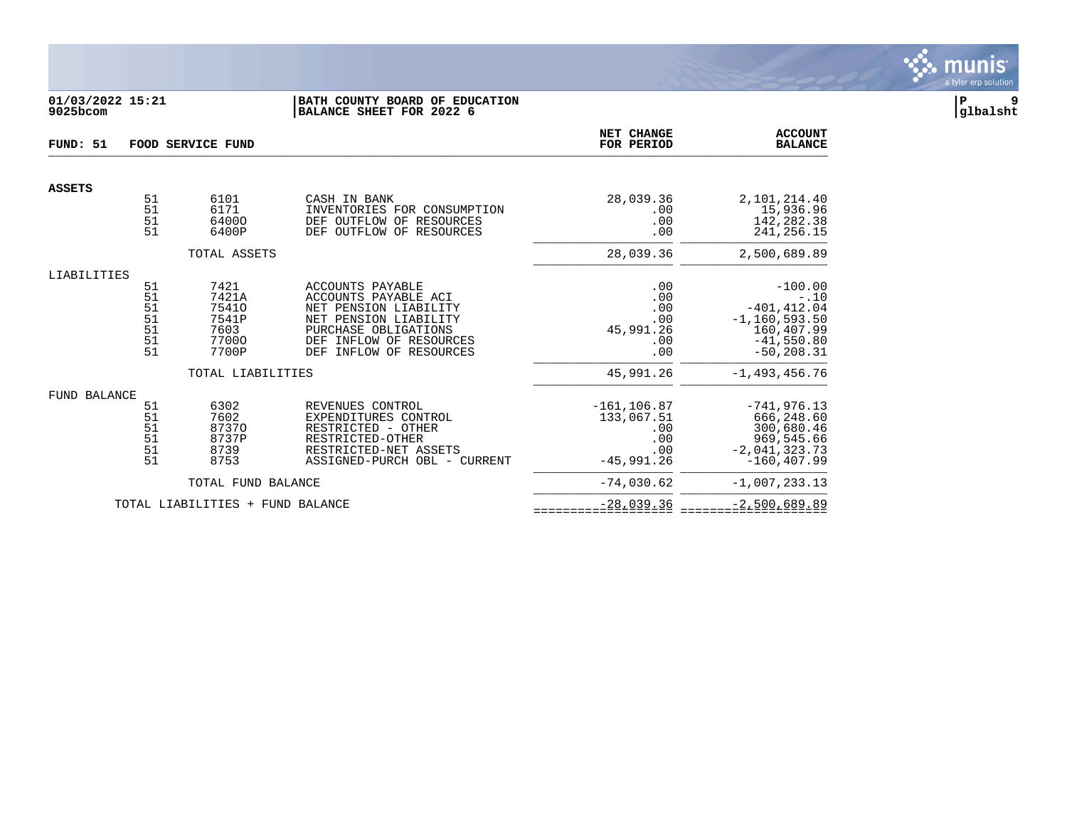

## **01/03/2022 15:21 |BATH COUNTY BOARD OF EDUCATION |P 9 9025bcom |BALANCE SHEET FOR 2022 6 |glbalsht**

| FUND: 51      |                                        | <b>FOOD SERVICE FUND</b>                                  |                                                                                                                                                                                    | NET CHANGE<br>FOR PERIOD                                          | <b>ACCOUNT</b><br><b>BALANCE</b>                                                                          |
|---------------|----------------------------------------|-----------------------------------------------------------|------------------------------------------------------------------------------------------------------------------------------------------------------------------------------------|-------------------------------------------------------------------|-----------------------------------------------------------------------------------------------------------|
| <b>ASSETS</b> |                                        |                                                           |                                                                                                                                                                                    |                                                                   |                                                                                                           |
|               | 51<br>51<br>51<br>51                   | 6101<br>6171<br>64000<br>6400P                            | CASH IN BANK<br>INVENTORIES FOR CONSUMPTION<br>DEF OUTFLOW OF<br>RESOURCES<br>DEF OUTFLOW OF<br>RESOURCES                                                                          | 28,039.36<br>.00<br>.00<br>.00                                    | 2,101,214.40<br>15,936.96<br>142,282.38<br>241, 256. 15                                                   |
|               |                                        | TOTAL ASSETS                                              |                                                                                                                                                                                    | 28,039.36                                                         | 2,500,689.89                                                                                              |
| LIABILITIES   | 51<br>51<br>51<br>51<br>51<br>51<br>51 | 7421<br>7421A<br>75410<br>7541P<br>7603<br>77000<br>7700P | ACCOUNTS PAYABLE<br>ACCOUNTS PAYABLE ACI<br>NET PENSION LIABILITY<br>NET PENSION LIABILITY<br>PURCHASE OBLIGATIONS<br>DEF INFLOW OF RESOURCES<br><b>DEF</b><br>INFLOW OF RESOURCES | .00<br>.00<br>.00<br>.00<br>45,991.26<br>.00<br>.00               | $-100.00$<br>$-.10$<br>$-401, 412.04$<br>$-1, 160, 593.50$<br>160,407.99<br>$-41,550.80$<br>$-50, 208.31$ |
|               |                                        | TOTAL LIABILITIES                                         |                                                                                                                                                                                    | 45,991.26                                                         | $-1,493,456.76$                                                                                           |
| FUND BALANCE  | 51<br>51<br>51<br>51<br>51<br>51       | 6302<br>7602<br>87370<br>8737P<br>8739<br>8753            | REVENUES CONTROL<br>EXPENDITURES CONTROL<br>RESTRICTED - OTHER<br>RESTRICTED-OTHER<br>RESTRICTED-NET ASSETS<br>ASSIGNED-PURCH OBL - CURRENT                                        | $-161, 106.87$<br>133,067.51<br>.00<br>.00<br>.00<br>$-45.991.26$ | $-741.976.13$<br>666,248.60<br>300,680.46<br>969,545.66<br>$-2,041,323.73$<br>$-160, 407.99$              |
|               |                                        | TOTAL FUND BALANCE                                        |                                                                                                                                                                                    | $-74.030.62$                                                      | $-1,007,233.13$                                                                                           |
|               |                                        | TOTAL LIABILITIES + FUND BALANCE                          |                                                                                                                                                                                    | $-28,039.36$                                                      | $-2,500,689.89$                                                                                           |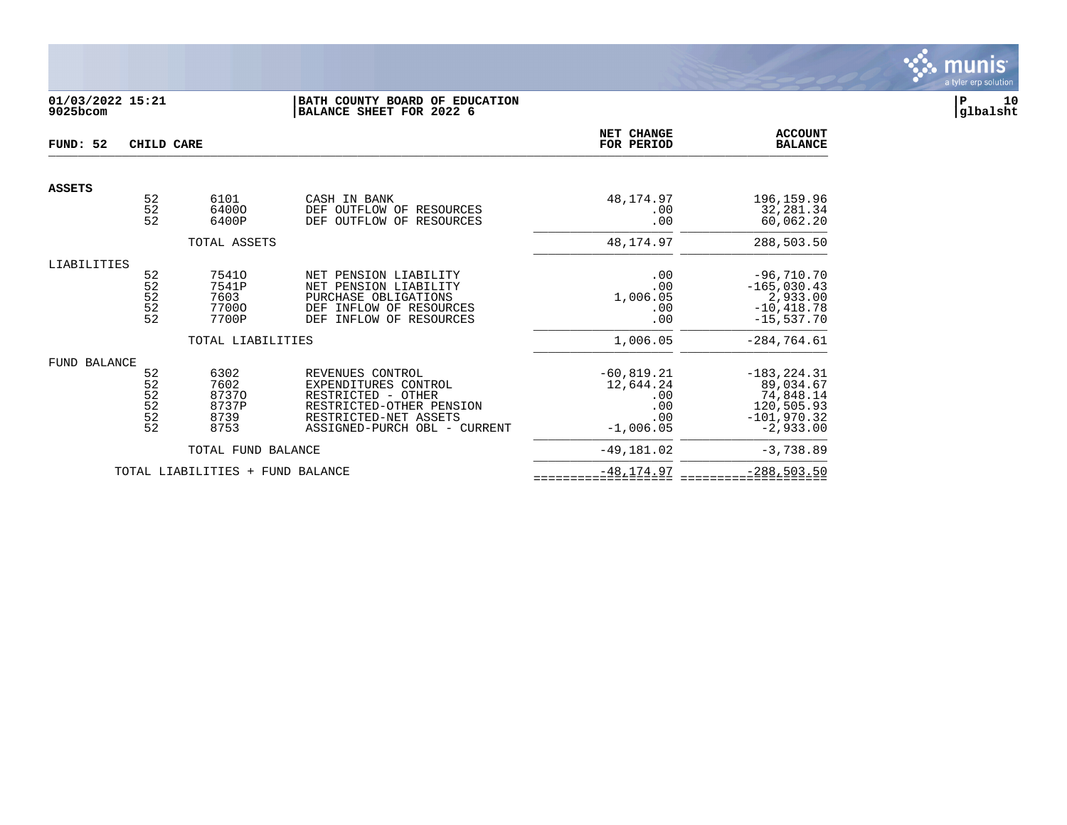

# **01/03/2022 15:21 |BATH COUNTY BOARD OF EDUCATION |P 10 9025bcom |BALANCE SHEET FOR 2022 6 |glbalsht**

| FUND: 52      | CHILD CARE                                    |                                                | <b>NET CHANGE</b><br>FOR PERIOD                                                                                                                     | <b>ACCOUNT</b><br><b>BALANCE</b>                               |                                                                                        |
|---------------|-----------------------------------------------|------------------------------------------------|-----------------------------------------------------------------------------------------------------------------------------------------------------|----------------------------------------------------------------|----------------------------------------------------------------------------------------|
| <b>ASSETS</b> |                                               |                                                |                                                                                                                                                     |                                                                |                                                                                        |
|               | $\begin{array}{c} 52 \\ 52 \end{array}$<br>52 | 6101<br>64000<br>6400P                         | CASH IN BANK<br>DEF OUTFLOW OF<br>RESOURCES<br>OF<br>OUTFLOW<br>RESOURCES<br>DEF                                                                    | 48,174.97<br>.00<br>.00                                        | 196,159.96<br>32,281.34<br>60,062.20                                                   |
|               |                                               | TOTAL ASSETS                                   |                                                                                                                                                     | 48,174.97                                                      | 288,503.50                                                                             |
| LIABILITIES   | 52<br>52<br>52<br>$\frac{5}{2}$               | 75410<br>7541P<br>7603<br>77000<br>7700P       | NET PENSION LIABILITY<br>NET PENSION LIABILITY<br>PURCHASE OBLIGATIONS<br>INFLOW OF RESOURCES<br>DEF<br><b>DEF</b><br>INFLOW OF RESOURCES           | .00<br>.00<br>1,006.05<br>.00<br>.00                           | $-96,710.70$<br>$-165,030.43$<br>2,933.00<br>$-10, 418.78$<br>$-15,537.70$             |
|               |                                               | TOTAL LIABILITIES                              |                                                                                                                                                     | 1,006.05                                                       | $-284, 764.61$                                                                         |
| FUND BALANCE  | 52<br>52<br>$\frac{52}{52}$<br>52<br>52       | 6302<br>7602<br>87370<br>8737P<br>8739<br>8753 | REVENUES CONTROL<br>EXPENDITURES CONTROL<br>RESTRICTED - OTHER<br>RESTRICTED-OTHER PENSION<br>RESTRICTED-NET ASSETS<br>ASSIGNED-PURCH OBL - CURRENT | $-60, 819.21$<br>12,644.24<br>.00<br>.00<br>.00<br>$-1,006.05$ | $-183, 224.31$<br>89,034.67<br>74,848.14<br>120,505.93<br>$-101,970.32$<br>$-2,933.00$ |
|               |                                               | TOTAL FUND BALANCE                             |                                                                                                                                                     | $-49,181.02$                                                   | $-3,738.89$                                                                            |
|               |                                               | TOTAL LIABILITIES +                            | FUND BALANCE                                                                                                                                        | $-48, 174.97$                                                  | $-288,503.50$                                                                          |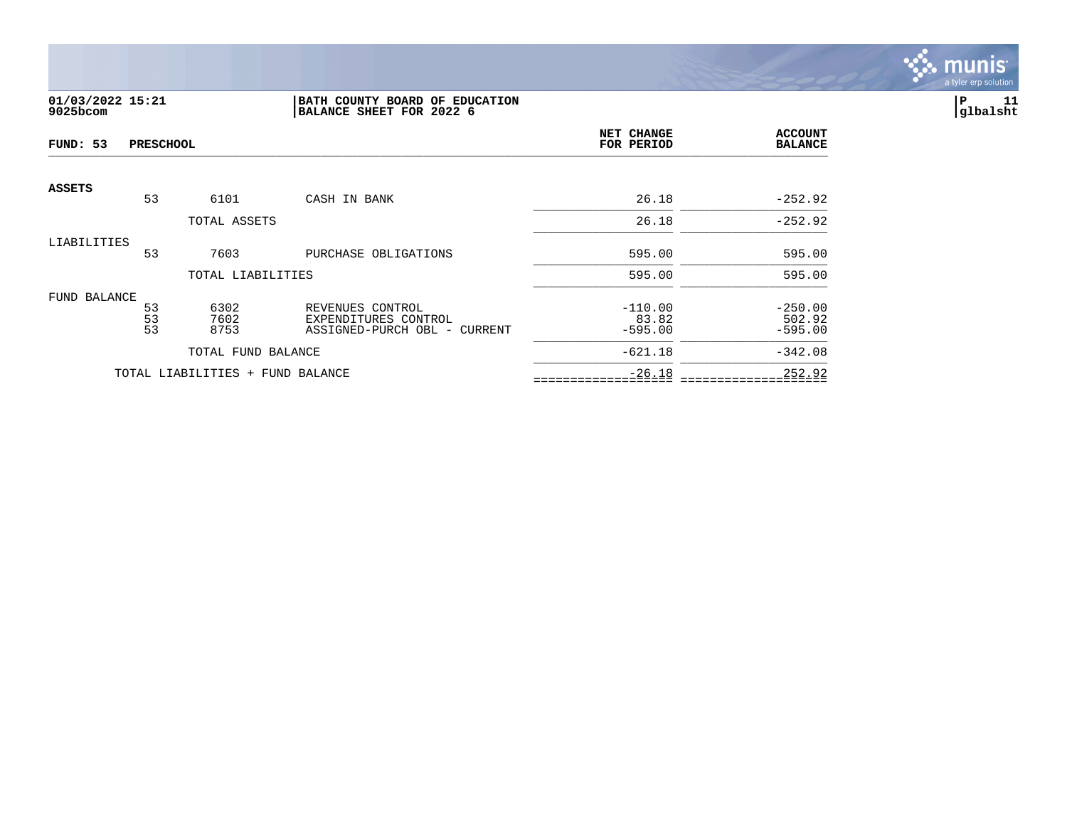

# **01/03/2022 15:21 |BATH COUNTY BOARD OF EDUCATION |P 11 9025bcom |BALANCE SHEET FOR 2022 6 |glbalsht**

| FUND: 53      | <b>PRESCHOOL</b> |                                  |                                                                          | NET CHANGE<br>FOR PERIOD        | <b>ACCOUNT</b><br><b>BALANCE</b> |
|---------------|------------------|----------------------------------|--------------------------------------------------------------------------|---------------------------------|----------------------------------|
| <b>ASSETS</b> | 53               | 6101                             | CASH IN BANK                                                             | 26.18                           | $-252.92$                        |
|               |                  |                                  |                                                                          |                                 | $-252.92$                        |
|               |                  | TOTAL ASSETS                     |                                                                          | 26.18                           |                                  |
| LIABILITIES   | 53               | 7603                             | PURCHASE OBLIGATIONS                                                     | 595.00                          | 595.00                           |
|               |                  | TOTAL LIABILITIES                |                                                                          | 595.00                          | 595.00                           |
| FUND BALANCE  | 53<br>53<br>53   | 6302<br>7602<br>8753             | REVENUES CONTROL<br>EXPENDITURES CONTROL<br>ASSIGNED-PURCH OBL - CURRENT | $-110.00$<br>83.82<br>$-595.00$ | $-250.00$<br>502.92<br>$-595.00$ |
|               |                  | TOTAL FUND BALANCE               |                                                                          | $-621.18$                       | $-342.08$                        |
|               |                  | TOTAL LIABILITIES + FUND BALANCE |                                                                          | $-26.18$                        | 252.92                           |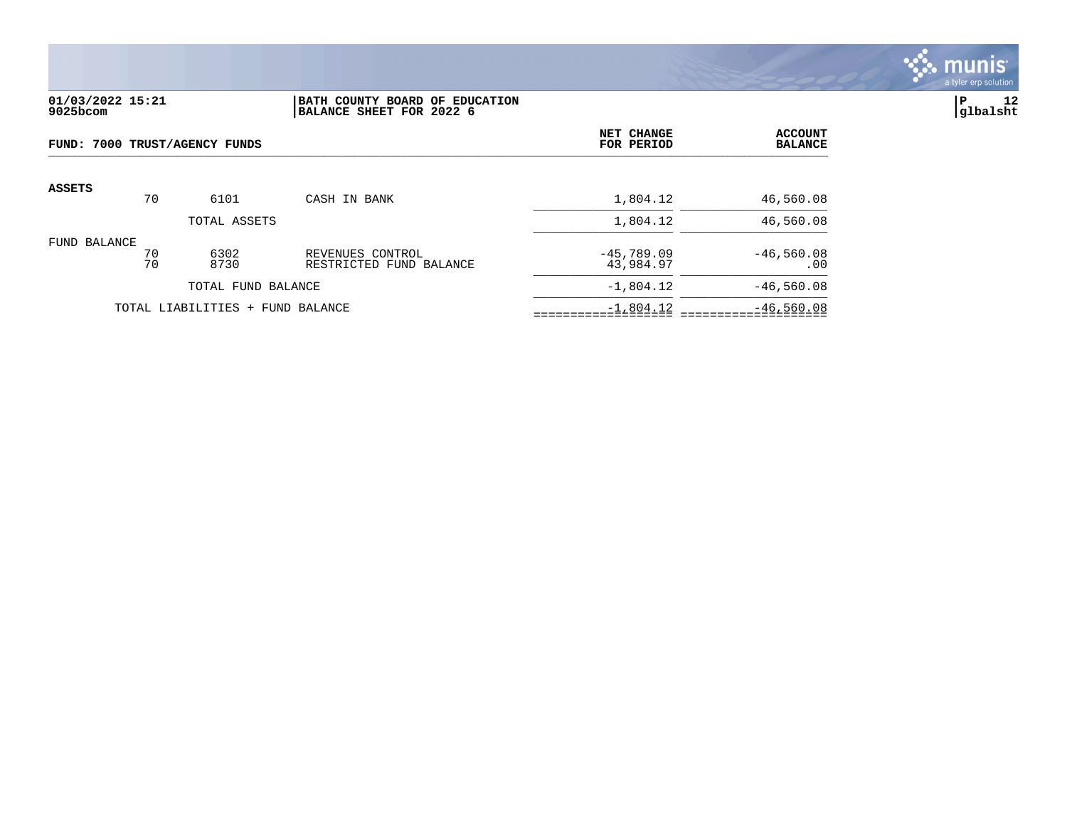

## **01/03/2022 15:21 |BATH COUNTY BOARD OF EDUCATION |P 12 9025bcom |BALANCE SHEET FOR 2022 6 |glbalsht**

| FUND: 7000 TRUST/AGENCY FUNDS |          |                                  |                                             | NET CHANGE<br>FOR PERIOD  | <b>ACCOUNT</b><br><b>BALANCE</b> |
|-------------------------------|----------|----------------------------------|---------------------------------------------|---------------------------|----------------------------------|
| <b>ASSETS</b>                 | 70       | 6101                             | CASH IN BANK                                | 1,804.12                  | 46,560.08                        |
|                               |          | TOTAL ASSETS                     |                                             | 1,804.12                  | 46,560.08                        |
| FUND BALANCE                  | 70<br>70 | 6302<br>8730                     | REVENUES CONTROL<br>RESTRICTED FUND BALANCE | $-45,789.09$<br>43,984.97 | $-46,560.08$<br>.00              |
|                               |          | TOTAL FUND BALANCE               |                                             | $-1,804.12$               | $-46,560.08$                     |
|                               |          | TOTAL LIABILITIES + FUND BALANCE |                                             | $-1,804.12$               | $-46,560.08$                     |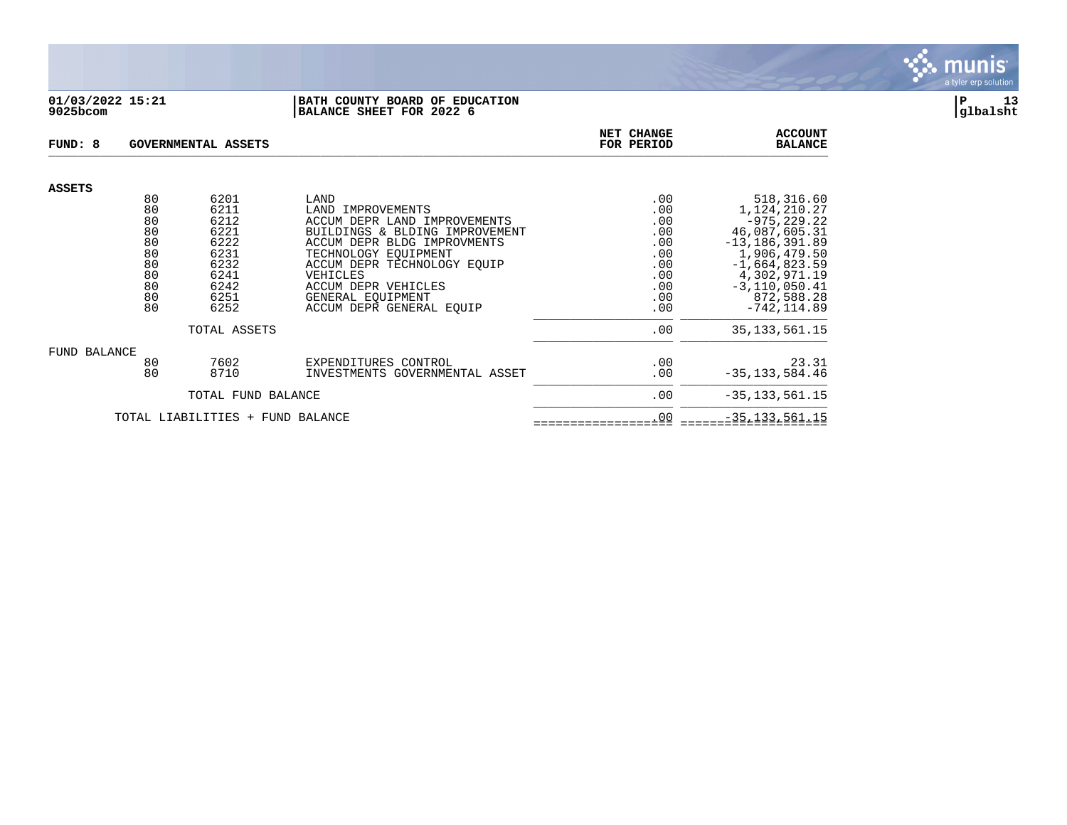

#### **01/03/2022 15:21 |BATH COUNTY BOARD OF EDUCATION |P 13 9025bcom |BALANCE SHEET FOR 2022 6 |glbalsht**

| FUND: 8<br>GOVERNMENTAL ASSETS   |          |              |                                                                | NET CHANGE<br>FOR PERIOD | <b>ACCOUNT</b><br><b>BALANCE</b> |
|----------------------------------|----------|--------------|----------------------------------------------------------------|--------------------------|----------------------------------|
| <b>ASSETS</b>                    |          |              |                                                                |                          |                                  |
|                                  | 80       | 6201         | LAND                                                           | .00                      | 518,316.60                       |
|                                  | 80<br>80 | 6211<br>6212 | LAND IMPROVEMENTS                                              | .00                      | 1,124,210.27                     |
|                                  | 80       | 6221         | ACCUM DEPR LAND IMPROVEMENTS<br>BUILDINGS & BLDING IMPROVEMENT | .00<br>.00               | $-975, 229.22$<br>46,087,605.31  |
|                                  | 80       | 6222         | ACCUM DEPR BLDG IMPROVMENTS                                    | .00                      | $-13, 186, 391.89$               |
|                                  | 80       | 6231         | TECHNOLOGY EOUIPMENT                                           | .00                      | 1,906,479.50                     |
|                                  | 80       | 6232         | ACCUM DEPR TECHNOLOGY EQUIP                                    | .00                      | $-1,664,823.59$                  |
|                                  | 80       | 6241         | VEHICLES                                                       | .00                      | 4,302,971.19                     |
|                                  | 80       | 6242         | ACCUM DEPR VEHICLES                                            | .00                      | $-3, 110, 050.41$                |
|                                  | 80       | 6251         | GENERAL EOUIPMENT                                              | .00                      | 872,588.28                       |
|                                  | 80       | 6252         | ACCUM DEPR GENERAL EOUIP                                       | .00                      | $-742, 114.89$                   |
| TOTAL ASSETS                     |          |              |                                                                | .00                      | 35, 133, 561. 15                 |
| FUND BALANCE                     |          |              |                                                                |                          |                                  |
|                                  | 80       | 7602         | EXPENDITURES CONTROL                                           | .00                      | 23.31                            |
|                                  | 80       | 8710         | INVESTMENTS GOVERNMENTAL ASSET                                 | .00                      | $-35, 133, 584.46$               |
| TOTAL FUND BALANCE               |          |              |                                                                | .00                      | $-35, 133, 561.15$               |
| TOTAL LIABILITIES + FUND BALANCE |          |              |                                                                | .00                      | $-35, 133, 561.15$               |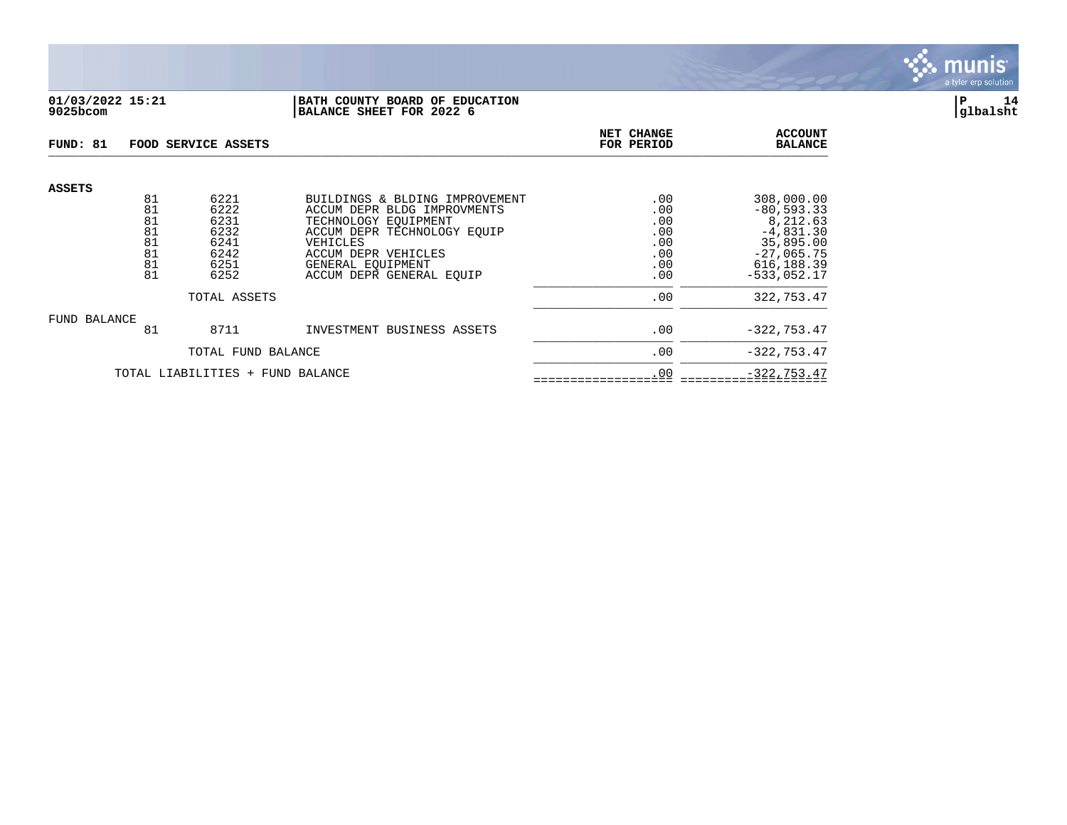

# **01/03/2022 15:21 |BATH COUNTY BOARD OF EDUCATION |P 14 9025bcom |BALANCE SHEET FOR 2022 6 |glbalsht**

| FUND: 81                         |                                              | FOOD SERVICE ASSETS                                          | NET CHANGE<br>FOR PERIOD                                                                                                                                                                                 | <b>ACCOUNT</b><br><b>BALANCE</b>              |                                                                                                                    |
|----------------------------------|----------------------------------------------|--------------------------------------------------------------|----------------------------------------------------------------------------------------------------------------------------------------------------------------------------------------------------------|-----------------------------------------------|--------------------------------------------------------------------------------------------------------------------|
| <b>ASSETS</b>                    | 81<br>81<br>81<br>81<br>81<br>81<br>81<br>81 | 6221<br>6222<br>6231<br>6232<br>6241<br>6242<br>6251<br>6252 | BUILDINGS & BLDING IMPROVEMENT<br>ACCUM DEPR BLDG IMPROVMENTS<br>TECHNOLOGY EOUIPMENT<br>ACCUM DEPR TECHNOLOGY EOUIP<br>VEHICLES<br>ACCUM DEPR VEHICLES<br>GENERAL EOUIPMENT<br>ACCUM DEPR GENERAL EOUIP | .00<br>.00<br>.00<br>.00<br>.00<br>.00<br>.00 | 308,000.00<br>$-80, 593.33$<br>8,212.63<br>$-4,831.30$<br>35,895.00<br>$-27,065.75$<br>616,188.39<br>$-533,052.17$ |
|                                  |                                              | TOTAL ASSETS                                                 |                                                                                                                                                                                                          | .00<br>.00                                    | 322,753.47                                                                                                         |
| FUND BALANCE                     | 81                                           | 8711                                                         | INVESTMENT BUSINESS ASSETS                                                                                                                                                                               | .00                                           | $-322, 753.47$                                                                                                     |
|                                  |                                              | TOTAL FUND BALANCE                                           |                                                                                                                                                                                                          | .00                                           | $-322, 753.47$                                                                                                     |
| TOTAL LIABILITIES + FUND BALANCE |                                              |                                                              |                                                                                                                                                                                                          | .00                                           | $-322, 753.47$                                                                                                     |